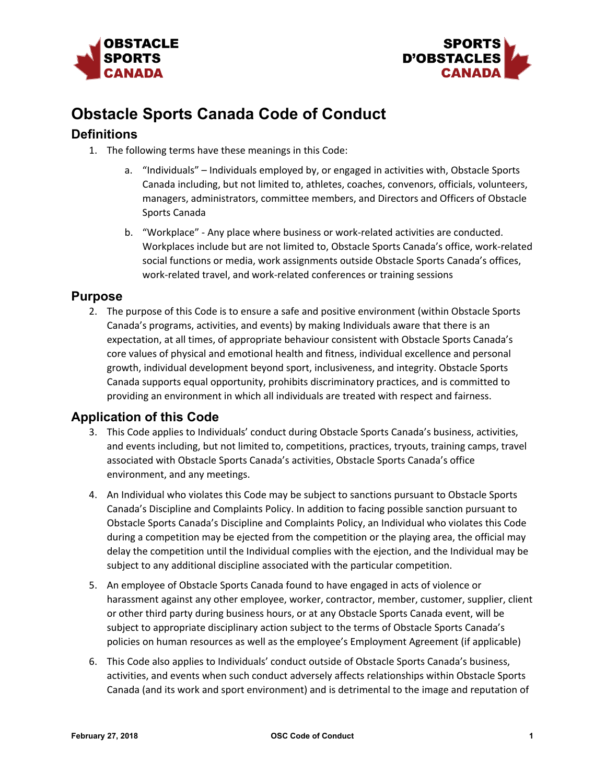



# **Obstacle Sports Canada Code of Conduct**

# **Definitions**

- 1. The following terms have these meanings in this Code:
	- a. "Individuals" Individuals employed by, or engaged in activities with, Obstacle Sports Canada including, but not limited to, athletes, coaches, convenors, officials, volunteers, managers, administrators, committee members, and Directors and Officers of Obstacle Sports Canada
	- b. "Workplace" Any place where business or work-related activities are conducted. Workplaces include but are not limited to, Obstacle Sports Canada's office, work-related social functions or media, work assignments outside Obstacle Sports Canada's offices, work-related travel, and work-related conferences or training sessions

## **Purpose**

2. The purpose of this Code is to ensure a safe and positive environment (within Obstacle Sports Canada's programs, activities, and events) by making Individuals aware that there is an expectation, at all times, of appropriate behaviour consistent with Obstacle Sports Canada's core values of physical and emotional health and fitness, individual excellence and personal growth, individual development beyond sport, inclusiveness, and integrity. Obstacle Sports Canada supports equal opportunity, prohibits discriminatory practices, and is committed to providing an environment in which all individuals are treated with respect and fairness.

## **Application of this Code**

- 3. This Code applies to Individuals' conduct during Obstacle Sports Canada's business, activities, and events including, but not limited to, competitions, practices, tryouts, training camps, travel associated with Obstacle Sports Canada's activities, Obstacle Sports Canada's office environment, and any meetings.
- 4. An Individual who violates this Code may be subject to sanctions pursuant to Obstacle Sports Canada's Discipline and Complaints Policy. In addition to facing possible sanction pursuant to Obstacle Sports Canada's Discipline and Complaints Policy, an Individual who violates this Code during a competition may be ejected from the competition or the playing area, the official may delay the competition until the Individual complies with the ejection, and the Individual may be subject to any additional discipline associated with the particular competition.
- 5. An employee of Obstacle Sports Canada found to have engaged in acts of violence or harassment against any other employee, worker, contractor, member, customer, supplier, client or other third party during business hours, or at any Obstacle Sports Canada event, will be subject to appropriate disciplinary action subject to the terms of Obstacle Sports Canada's policies on human resources as well as the employee's Employment Agreement (if applicable)
- 6. This Code also applies to Individuals' conduct outside of Obstacle Sports Canada's business, activities, and events when such conduct adversely affects relationships within Obstacle Sports Canada (and its work and sport environment) and is detrimental to the image and reputation of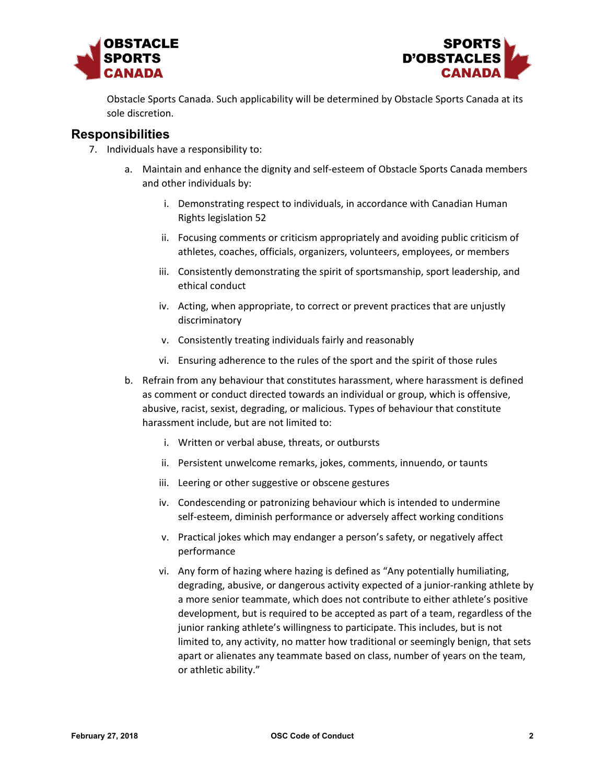



Obstacle Sports Canada. Such applicability will be determined by Obstacle Sports Canada at its sole discretion.

## **Responsibilities**

- 7. Individuals have a responsibility to:
	- a. Maintain and enhance the dignity and self-esteem of Obstacle Sports Canada members and other individuals by:
		- i. Demonstrating respect to individuals, in accordance with Canadian Human Rights legislation 52
		- ii. Focusing comments or criticism appropriately and avoiding public criticism of athletes, coaches, officials, organizers, volunteers, employees, or members
		- iii. Consistently demonstrating the spirit of sportsmanship, sport leadership, and ethical conduct
		- iv. Acting, when appropriate, to correct or prevent practices that are unjustly discriminatory
		- v. Consistently treating individuals fairly and reasonably
		- vi. Ensuring adherence to the rules of the sport and the spirit of those rules
	- b. Refrain from any behaviour that constitutes harassment, where harassment is defined as comment or conduct directed towards an individual or group, which is offensive, abusive, racist, sexist, degrading, or malicious. Types of behaviour that constitute harassment include, but are not limited to:
		- i. Written or verbal abuse, threats, or outbursts
		- ii. Persistent unwelcome remarks, jokes, comments, innuendo, or taunts
		- iii. Leering or other suggestive or obscene gestures
		- iv. Condescending or patronizing behaviour which is intended to undermine self-esteem, diminish performance or adversely affect working conditions
		- v. Practical jokes which may endanger a person's safety, or negatively affect performance
		- vi. Any form of hazing where hazing is defined as "Any potentially humiliating, degrading, abusive, or dangerous activity expected of a junior-ranking athlete by a more senior teammate, which does not contribute to either athlete's positive development, but is required to be accepted as part of a team, regardless of the junior ranking athlete's willingness to participate. This includes, but is not limited to, any activity, no matter how traditional or seemingly benign, that sets apart or alienates any teammate based on class, number of years on the team, or athletic ability."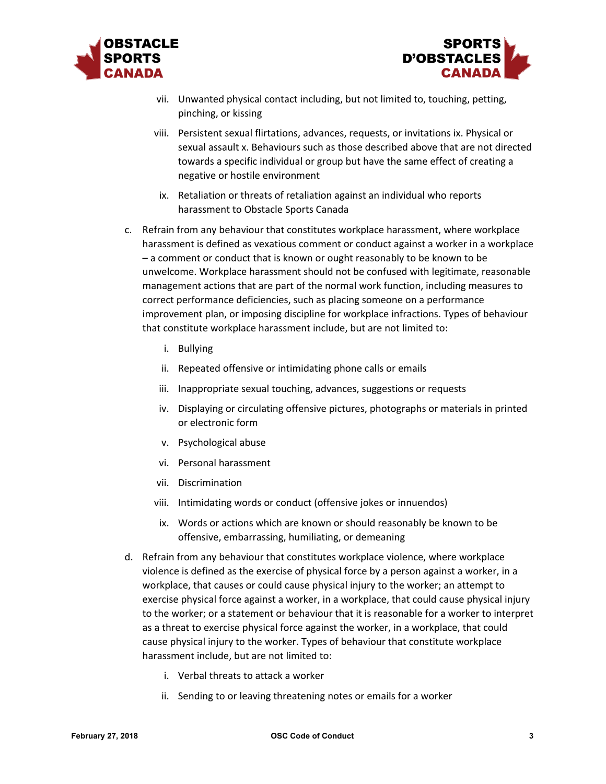



- vii. Unwanted physical contact including, but not limited to, touching, petting, pinching, or kissing
- viii. Persistent sexual flirtations, advances, requests, or invitations ix. Physical or sexual assault x. Behaviours such as those described above that are not directed towards a specific individual or group but have the same effect of creating a negative or hostile environment
- ix. Retaliation or threats of retaliation against an individual who reports harassment to Obstacle Sports Canada
- c. Refrain from any behaviour that constitutes workplace harassment, where workplace harassment is defined as vexatious comment or conduct against a worker in a workplace – a comment or conduct that is known or ought reasonably to be known to be unwelcome. Workplace harassment should not be confused with legitimate, reasonable management actions that are part of the normal work function, including measures to correct performance deficiencies, such as placing someone on a performance improvement plan, or imposing discipline for workplace infractions. Types of behaviour that constitute workplace harassment include, but are not limited to:
	- i. Bullying
	- ii. Repeated offensive or intimidating phone calls or emails
	- iii. Inappropriate sexual touching, advances, suggestions or requests
	- iv. Displaying or circulating offensive pictures, photographs or materials in printed or electronic form
	- v. Psychological abuse
	- vi. Personal harassment
	- vii. Discrimination
	- viii. Intimidating words or conduct (offensive jokes or innuendos)
	- ix. Words or actions which are known or should reasonably be known to be offensive, embarrassing, humiliating, or demeaning
- d. Refrain from any behaviour that constitutes workplace violence, where workplace violence is defined as the exercise of physical force by a person against a worker, in a workplace, that causes or could cause physical injury to the worker; an attempt to exercise physical force against a worker, in a workplace, that could cause physical injury to the worker; or a statement or behaviour that it is reasonable for a worker to interpret as a threat to exercise physical force against the worker, in a workplace, that could cause physical injury to the worker. Types of behaviour that constitute workplace harassment include, but are not limited to:
	- i. Verbal threats to attack a worker
	- ii. Sending to or leaving threatening notes or emails for a worker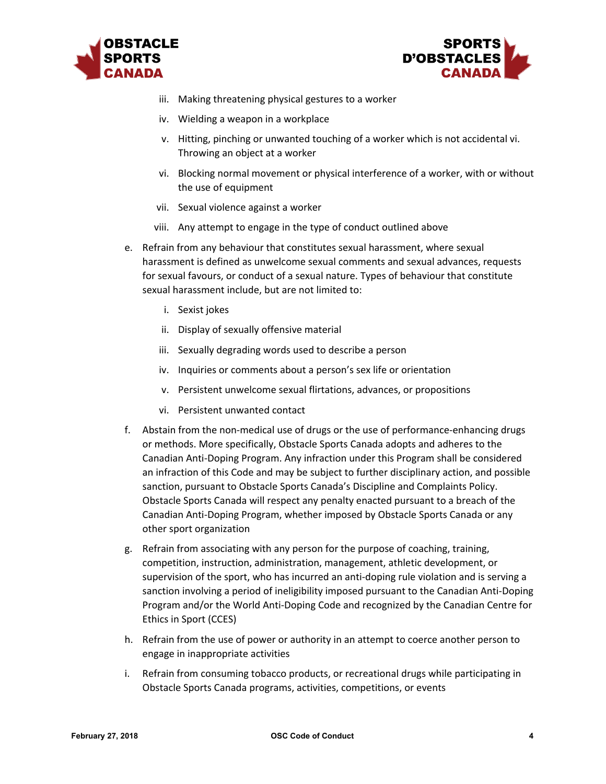



- iii. Making threatening physical gestures to a worker
- iv. Wielding a weapon in a workplace
- v. Hitting, pinching or unwanted touching of a worker which is not accidental vi. Throwing an object at a worker
- vi. Blocking normal movement or physical interference of a worker, with or without the use of equipment
- vii. Sexual violence against a worker
- viii. Any attempt to engage in the type of conduct outlined above
- e. Refrain from any behaviour that constitutes sexual harassment, where sexual harassment is defined as unwelcome sexual comments and sexual advances, requests for sexual favours, or conduct of a sexual nature. Types of behaviour that constitute sexual harassment include, but are not limited to:
	- i. Sexist jokes
	- ii. Display of sexually offensive material
	- iii. Sexually degrading words used to describe a person
	- iv. Inquiries or comments about a person's sex life or orientation
	- v. Persistent unwelcome sexual flirtations, advances, or propositions
	- vi. Persistent unwanted contact
- f. Abstain from the non-medical use of drugs or the use of performance-enhancing drugs or methods. More specifically, Obstacle Sports Canada adopts and adheres to the Canadian Anti-Doping Program. Any infraction under this Program shall be considered an infraction of this Code and may be subject to further disciplinary action, and possible sanction, pursuant to Obstacle Sports Canada's Discipline and Complaints Policy. Obstacle Sports Canada will respect any penalty enacted pursuant to a breach of the Canadian Anti-Doping Program, whether imposed by Obstacle Sports Canada or any other sport organization
- g. Refrain from associating with any person for the purpose of coaching, training, competition, instruction, administration, management, athletic development, or supervision of the sport, who has incurred an anti-doping rule violation and is serving a sanction involving a period of ineligibility imposed pursuant to the Canadian Anti-Doping Program and/or the World Anti-Doping Code and recognized by the Canadian Centre for Ethics in Sport (CCES)
- h. Refrain from the use of power or authority in an attempt to coerce another person to engage in inappropriate activities
- i. Refrain from consuming tobacco products, or recreational drugs while participating in Obstacle Sports Canada programs, activities, competitions, or events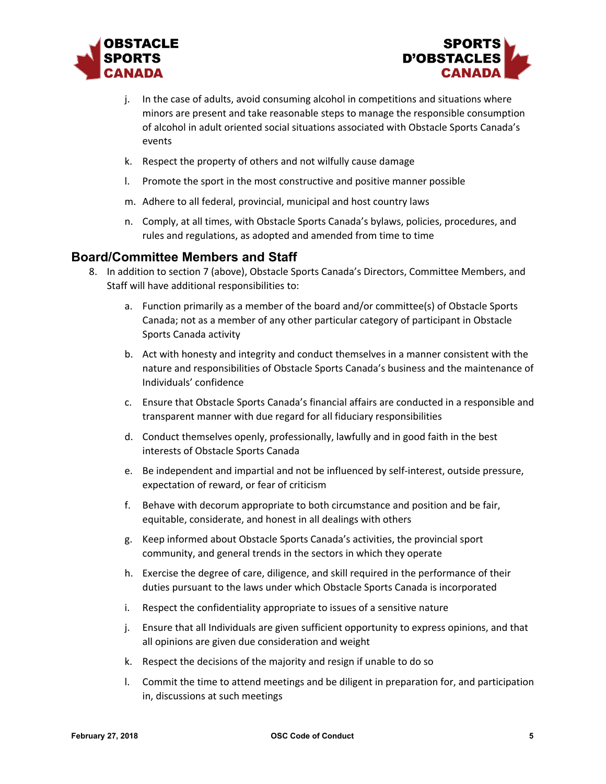



- j. In the case of adults, avoid consuming alcohol in competitions and situations where minors are present and take reasonable steps to manage the responsible consumption of alcohol in adult oriented social situations associated with Obstacle Sports Canada's events
- k. Respect the property of others and not wilfully cause damage
- l. Promote the sport in the most constructive and positive manner possible
- m. Adhere to all federal, provincial, municipal and host country laws
- n. Comply, at all times, with Obstacle Sports Canada's bylaws, policies, procedures, and rules and regulations, as adopted and amended from time to time

## **Board/Committee Members and Staff**

- 8. In addition to section 7 (above), Obstacle Sports Canada's Directors, Committee Members, and Staff will have additional responsibilities to:
	- a. Function primarily as a member of the board and/or committee(s) of Obstacle Sports Canada; not as a member of any other particular category of participant in Obstacle Sports Canada activity
	- b. Act with honesty and integrity and conduct themselves in a manner consistent with the nature and responsibilities of Obstacle Sports Canada's business and the maintenance of Individuals' confidence
	- c. Ensure that Obstacle Sports Canada's financial affairs are conducted in a responsible and transparent manner with due regard for all fiduciary responsibilities
	- d. Conduct themselves openly, professionally, lawfully and in good faith in the best interests of Obstacle Sports Canada
	- e. Be independent and impartial and not be influenced by self-interest, outside pressure, expectation of reward, or fear of criticism
	- f. Behave with decorum appropriate to both circumstance and position and be fair, equitable, considerate, and honest in all dealings with others
	- g. Keep informed about Obstacle Sports Canada's activities, the provincial sport community, and general trends in the sectors in which they operate
	- h. Exercise the degree of care, diligence, and skill required in the performance of their duties pursuant to the laws under which Obstacle Sports Canada is incorporated
	- i. Respect the confidentiality appropriate to issues of a sensitive nature
	- j. Ensure that all Individuals are given sufficient opportunity to express opinions, and that all opinions are given due consideration and weight
	- k. Respect the decisions of the majority and resign if unable to do so
	- l. Commit the time to attend meetings and be diligent in preparation for, and participation in, discussions at such meetings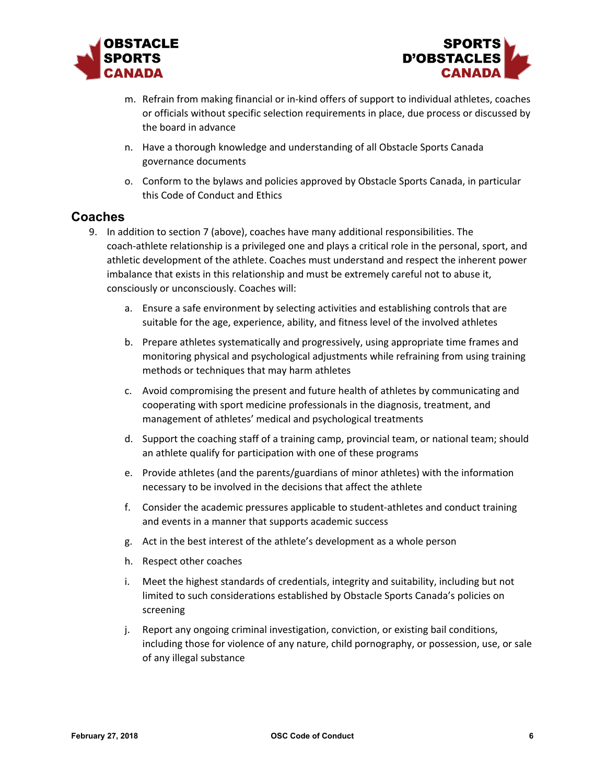



- m. Refrain from making financial or in-kind offers of support to individual athletes, coaches or officials without specific selection requirements in place, due process or discussed by the board in advance
- n. Have a thorough knowledge and understanding of all Obstacle Sports Canada governance documents
- o. Conform to the bylaws and policies approved by Obstacle Sports Canada, in particular this Code of Conduct and Ethics

## **Coaches**

- 9. In addition to section 7 (above), coaches have many additional responsibilities. The coach-athlete relationship is a privileged one and plays a critical role in the personal, sport, and athletic development of the athlete. Coaches must understand and respect the inherent power imbalance that exists in this relationship and must be extremely careful not to abuse it, consciously or unconsciously. Coaches will:
	- a. Ensure a safe environment by selecting activities and establishing controls that are suitable for the age, experience, ability, and fitness level of the involved athletes
	- b. Prepare athletes systematically and progressively, using appropriate time frames and monitoring physical and psychological adjustments while refraining from using training methods or techniques that may harm athletes
	- c. Avoid compromising the present and future health of athletes by communicating and cooperating with sport medicine professionals in the diagnosis, treatment, and management of athletes' medical and psychological treatments
	- d. Support the coaching staff of a training camp, provincial team, or national team; should an athlete qualify for participation with one of these programs
	- e. Provide athletes (and the parents/guardians of minor athletes) with the information necessary to be involved in the decisions that affect the athlete
	- f. Consider the academic pressures applicable to student-athletes and conduct training and events in a manner that supports academic success
	- g. Act in the best interest of the athlete's development as a whole person
	- h. Respect other coaches
	- i. Meet the highest standards of credentials, integrity and suitability, including but not limited to such considerations established by Obstacle Sports Canada's policies on screening
	- j. Report any ongoing criminal investigation, conviction, or existing bail conditions, including those for violence of any nature, child pornography, or possession, use, or sale of any illegal substance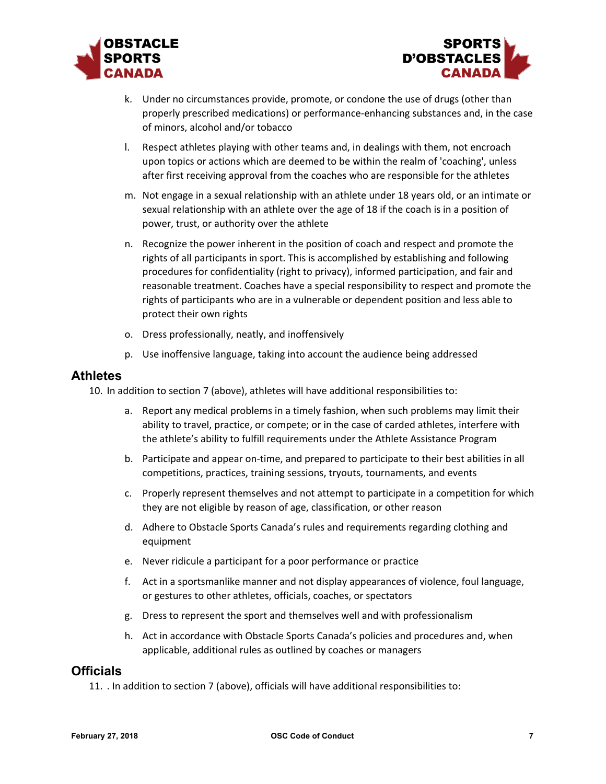



- k. Under no circumstances provide, promote, or condone the use of drugs (other than properly prescribed medications) or performance-enhancing substances and, in the case of minors, alcohol and/or tobacco
- l. Respect athletes playing with other teams and, in dealings with them, not encroach upon topics or actions which are deemed to be within the realm of 'coaching', unless after first receiving approval from the coaches who are responsible for the athletes
- m. Not engage in a sexual relationship with an athlete under 18 years old, or an intimate or sexual relationship with an athlete over the age of 18 if the coach is in a position of power, trust, or authority over the athlete
- n. Recognize the power inherent in the position of coach and respect and promote the rights of all participants in sport. This is accomplished by establishing and following procedures for confidentiality (right to privacy), informed participation, and fair and reasonable treatment. Coaches have a special responsibility to respect and promote the rights of participants who are in a vulnerable or dependent position and less able to protect their own rights
- o. Dress professionally, neatly, and inoffensively
- p. Use inoffensive language, taking into account the audience being addressed

#### **Athletes**

10. In addition to section 7 (above), athletes will have additional responsibilities to:

- a. Report any medical problems in a timely fashion, when such problems may limit their ability to travel, practice, or compete; or in the case of carded athletes, interfere with the athlete's ability to fulfill requirements under the Athlete Assistance Program
- b. Participate and appear on-time, and prepared to participate to their best abilities in all competitions, practices, training sessions, tryouts, tournaments, and events
- c. Properly represent themselves and not attempt to participate in a competition for which they are not eligible by reason of age, classification, or other reason
- d. Adhere to Obstacle Sports Canada's rules and requirements regarding clothing and equipment
- e. Never ridicule a participant for a poor performance or practice
- f. Act in a sportsmanlike manner and not display appearances of violence, foul language, or gestures to other athletes, officials, coaches, or spectators
- g. Dress to represent the sport and themselves well and with professionalism
- h. Act in accordance with Obstacle Sports Canada's policies and procedures and, when applicable, additional rules as outlined by coaches or managers

#### **Officials**

11. . In addition to section 7 (above), officials will have additional responsibilities to: